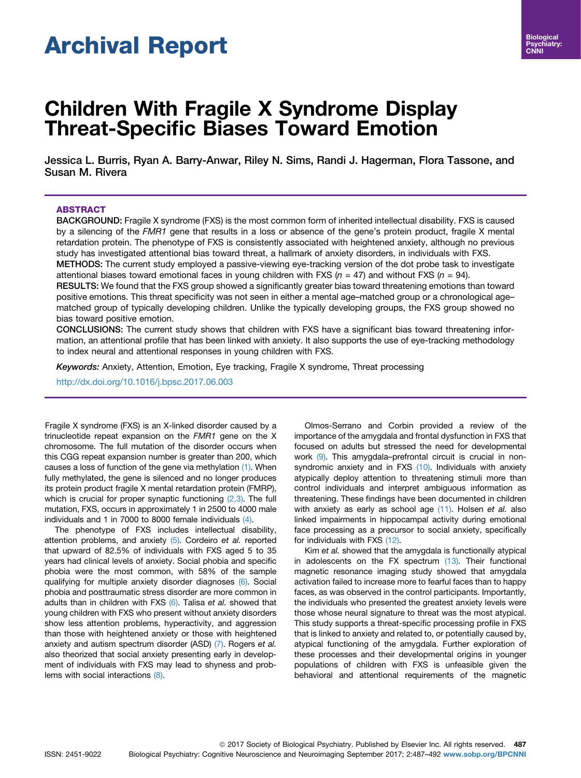# Archival Report

# Children With Fragile X Syndrome Display Threat-Specific Biases Toward Emotion

Jessica L. Burris, Ryan A. Barry-Anwar, Riley N. Sims, Randi J. Hagerman, Flora Tassone, and Susan M. Rivera

# ABSTRACT

BACKGROUND: Fragile X syndrome (FXS) is the most common form of inherited intellectual disability. FXS is caused by a silencing of the FMR1 gene that results in a loss or absence of the gene's protein product, fragile X mental retardation protein. The phenotype of FXS is consistently associated with heightened anxiety, although no previous study has investigated attentional bias toward threat, a hallmark of anxiety disorders, in individuals with FXS.

METHODS: The current study employed a passive-viewing eye-tracking version of the dot probe task to investigate attentional biases toward emotional faces in young children with FXS ( $n = 47$ ) and without FXS ( $n = 94$ ).

RESULTS: We found that the FXS group showed a significantly greater bias toward threatening emotions than toward positive emotions. This threat specificity was not seen in either a mental age–matched group or a chronological age– matched group of typically developing children. Unlike the typically developing groups, the FXS group showed no bias toward positive emotion.

CONCLUSIONS: The current study shows that children with FXS have a significant bias toward threatening information, an attentional profile that has been linked with anxiety. It also supports the use of eye-tracking methodology to index neural and attentional responses in young children with FXS.

Keywords: Anxiety, Attention, Emotion, Eye tracking, Fragile X syndrome, Threat processing

<http://dx.doi.org/10.1016/j.bpsc.2017.06.003>

Fragile X syndrome (FXS) is an X-linked disorder caused by a trinucleotide repeat expansion on the FMR1 gene on the X chromosome. The full mutation of the disorder occurs when this CGG repeat expansion number is greater than 200, which causes a loss of function of the gene via methylation [\(1\)](#page-5-0). When fully methylated, the gene is silenced and no longer produces its protein product fragile X mental retardation protein (FMRP), which is crucial for proper synaptic functioning  $(2,3)$ . The full mutation, FXS, occurs in approximately 1 in 2500 to 4000 male individuals and 1 in 7000 to 8000 female individuals [\(4\)](#page-5-0).

The phenotype of FXS includes intellectual disability, attention problems, and anxiety  $(5)$ . Cordeiro et al. reported that upward of 82.5% of individuals with FXS aged 5 to 35 years had clinical levels of anxiety. Social phobia and specific phobia were the most common, with 58% of the sample qualifying for multiple anxiety disorder diagnoses [\(6\)](#page-5-0). Social phobia and posttraumatic stress disorder are more common in adults than in children with FXS [\(6\)](#page-5-0). Talisa et al. showed that young children with FXS who present without anxiety disorders show less attention problems, hyperactivity, and aggression than those with heightened anxiety or those with heightened anxiety and autism spectrum disorder (ASD) [\(7\).](#page-5-0) Rogers et al. also theorized that social anxiety presenting early in development of individuals with FXS may lead to shyness and problems with social interactions [\(8\).](#page-5-0)

Olmos-Serrano and Corbin provided a review of the importance of the amygdala and frontal dysfunction in FXS that focused on adults but stressed the need for developmental work [\(9\).](#page-5-0) This amygdala–prefrontal circuit is crucial in non-syndromic anxiety and in FXS [\(10\)](#page-5-0). Individuals with anxiety atypically deploy attention to threatening stimuli more than control individuals and interpret ambiguous information as threatening. These findings have been documented in children with anxiety as early as school age  $(11)$ . Holsen et al. also linked impairments in hippocampal activity during emotional face processing as a precursor to social anxiety, specifically for individuals with FXS [\(12\).](#page-5-0)

Kim et al. showed that the amygdala is functionally atypical in adolescents on the FX spectrum [\(13\).](#page-5-0) Their functional magnetic resonance imaging study showed that amygdala activation failed to increase more to fearful faces than to happy faces, as was observed in the control participants. Importantly, the individuals who presented the greatest anxiety levels were those whose neural signature to threat was the most atypical. This study supports a threat-specific processing profile in FXS that is linked to anxiety and related to, or potentially caused by, atypical functioning of the amygdala. Further exploration of these processes and their developmental origins in younger populations of children with FXS is unfeasible given the behavioral and attentional requirements of the magnetic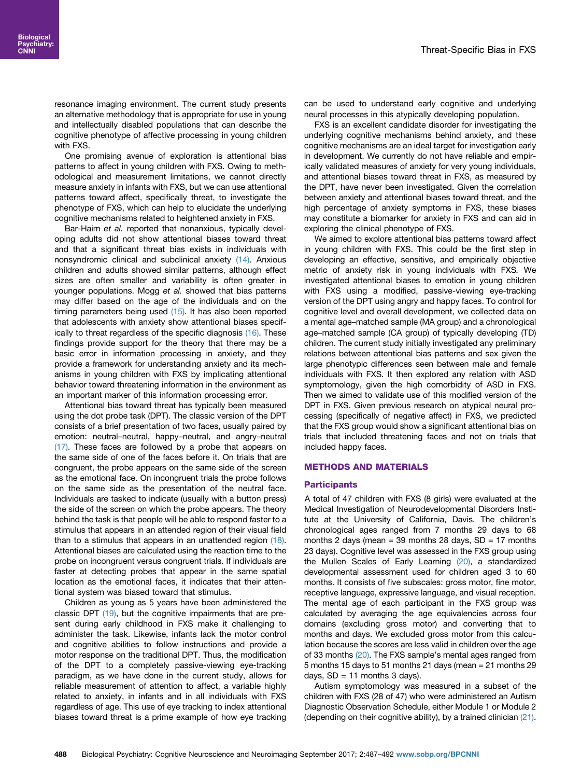resonance imaging environment. The current study presents an alternative methodology that is appropriate for use in young and intellectually disabled populations that can describe the cognitive phenotype of affective processing in young children with FXS.

One promising avenue of exploration is attentional bias patterns to affect in young children with FXS. Owing to methodological and measurement limitations, we cannot directly measure anxiety in infants with FXS, but we can use attentional patterns toward affect, specifically threat, to investigate the phenotype of FXS, which can help to elucidate the underlying cognitive mechanisms related to heightened anxiety in FXS.

Bar-Haim et al. reported that nonanxious, typically developing adults did not show attentional biases toward threat and that a significant threat bias exists in individuals with nonsyndromic clinical and subclinical anxiety [\(14\)](#page-5-0). Anxious children and adults showed similar patterns, although effect sizes are often smaller and variability is often greater in younger populations. Mogg et al. showed that bias patterns may differ based on the age of the individuals and on the timing parameters being used  $(15)$ . It has also been reported that adolescents with anxiety show attentional biases specifically to threat regardless of the specific diagnosis [\(16\).](#page-5-0) These findings provide support for the theory that there may be a basic error in information processing in anxiety, and they provide a framework for understanding anxiety and its mechanisms in young children with FXS by implicating attentional behavior toward threatening information in the environment as an important marker of this information processing error.

Attentional bias toward threat has typically been measured using the dot probe task (DPT). The classic version of the DPT consists of a brief presentation of two faces, usually paired by emotion: neutral–neutral, happy–neutral, and angry–neutral [\(17\)](#page-5-0). These faces are followed by a probe that appears on the same side of one of the faces before it. On trials that are congruent, the probe appears on the same side of the screen as the emotional face. On incongruent trials the probe follows on the same side as the presentation of the neutral face. Individuals are tasked to indicate (usually with a button press) the side of the screen on which the probe appears. The theory behind the task is that people will be able to respond faster to a stimulus that appears in an attended region of their visual field than to a stimulus that appears in an unattended region [\(18\)](#page-5-0). Attentional biases are calculated using the reaction time to the probe on incongruent versus congruent trials. If individuals are faster at detecting probes that appear in the same spatial location as the emotional faces, it indicates that their attentional system was biased toward that stimulus.

Children as young as 5 years have been administered the classic DPT [\(19\),](#page-5-0) but the cognitive impairments that are present during early childhood in FXS make it challenging to administer the task. Likewise, infants lack the motor control and cognitive abilities to follow instructions and provide a motor response on the traditional DPT. Thus, the modification of the DPT to a completely passive-viewing eye-tracking paradigm, as we have done in the current study, allows for reliable measurement of attention to affect, a variable highly related to anxiety, in infants and in all individuals with FXS regardless of age. This use of eye tracking to index attentional biases toward threat is a prime example of how eye tracking

can be used to understand early cognitive and underlying neural processes in this atypically developing population.

FXS is an excellent candidate disorder for investigating the underlying cognitive mechanisms behind anxiety, and these cognitive mechanisms are an ideal target for investigation early in development. We currently do not have reliable and empirically validated measures of anxiety for very young individuals, and attentional biases toward threat in FXS, as measured by the DPT, have never been investigated. Given the correlation between anxiety and attentional biases toward threat, and the high percentage of anxiety symptoms in FXS, these biases may constitute a biomarker for anxiety in FXS and can aid in exploring the clinical phenotype of FXS.

We aimed to explore attentional bias patterns toward affect in young children with FXS. This could be the first step in developing an effective, sensitive, and empirically objective metric of anxiety risk in young individuals with FXS. We investigated attentional biases to emotion in young children with FXS using a modified, passive-viewing eye-tracking version of the DPT using angry and happy faces. To control for cognitive level and overall development, we collected data on a mental age–matched sample (MA group) and a chronological age–matched sample (CA group) of typically developing (TD) children. The current study initially investigated any preliminary relations between attentional bias patterns and sex given the large phenotypic differences seen between male and female individuals with FXS. It then explored any relation with ASD symptomology, given the high comorbidity of ASD in FXS. Then we aimed to validate use of this modified version of the DPT in FXS. Given previous research on atypical neural processing (specifically of negative affect) in FXS, we predicted that the FXS group would show a significant attentional bias on trials that included threatening faces and not on trials that included happy faces.

#### METHODS AND MATERIALS

#### **Participants**

A total of 47 children with FXS (8 girls) were evaluated at the Medical Investigation of Neurodevelopmental Disorders Institute at the University of California, Davis. The children's chronological ages ranged from 7 months 29 days to 68 months 2 days (mean  $=$  39 months 28 days, SD  $=$  17 months 23 days). Cognitive level was assessed in the FXS group using the Mullen Scales of Early Learning [\(20\)](#page-5-0), a standardized developmental assessment used for children aged 3 to 60 months. It consists of five subscales: gross motor, fine motor, receptive language, expressive language, and visual reception. The mental age of each participant in the FXS group was calculated by averaging the age equivalencies across four domains (excluding gross motor) and converting that to months and days. We excluded gross motor from this calculation because the scores are less valid in children over the age of 33 months [\(20\).](#page-5-0) The FXS sample's mental ages ranged from 5 months 15 days to 51 months 21 days (mean = 21 months 29 days,  $SD = 11$  months 3 days).

Autism symptomology was measured in a subset of the children with FXS (28 of 47) who were administered an Autism Diagnostic Observation Schedule, either Module 1 or Module 2 (depending on their cognitive ability), by a trained clinician [\(21\).](#page-5-0)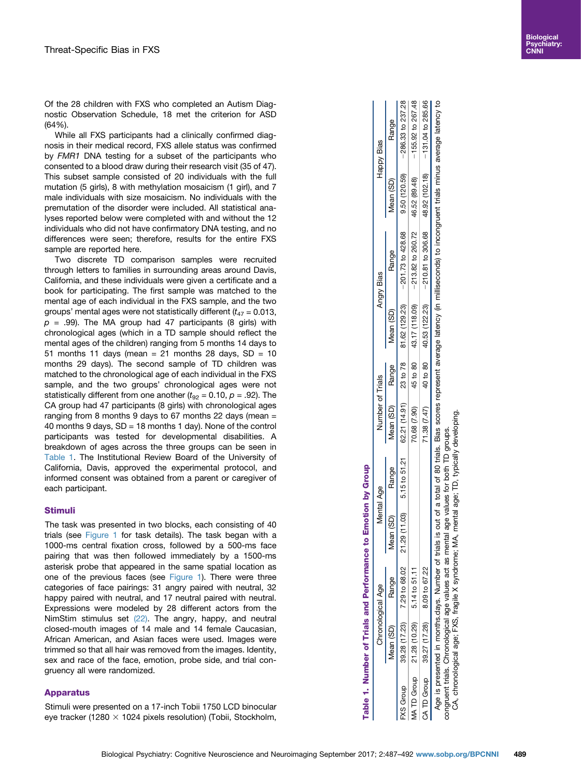<span id="page-2-0"></span>Of the 28 children with FXS who completed an Autism Diagnostic Observation Schedule, 18 met the criterion for ASD (64%).

While all FXS participants had a clinically confirmed diagnosis in their medical record, FXS allele status was confirmed by FMR1 DNA testing for a subset of the participants who consented to a blood draw during their research visit (35 of 47). This subset sample consisted of 20 individuals with the full mutation (5 girls), 8 with methylation mosaicism (1 girl), and 7 male individuals with size mosaicism. No individuals with the premutation of the disorder were included. All statistical analyses reported below were completed with and without the 12 individuals who did not have confirmatory DNA testing, and no differences were seen; therefore, results for the entire FXS sample are reported here.

Two discrete TD comparison samples were recruited through letters to families in surrounding areas around Davis, California, and these individuals were given a certificate and a book for participating. The first sample was matched to the mental age of each individual in the FXS sample, and the two groups' mental ages were not statistically different  $(t_{47} = 0.013,$  $p = .99$ ). The MA group had 47 participants (8 girls) with chronological ages (which in a TD sample should reflect the mental ages of the children) ranging from 5 months 14 days to 51 months 11 days (mean  $= 21$  months 28 days, SD  $= 10$ months 29 days). The second sample of TD children was matched to the chronological age of each individual in the FXS sample, and the two groups' chronological ages were not statistically different from one another ( $t_{92} = 0.10$ ,  $p = .92$ ). The CA group had 47 participants (8 girls) with chronological ages ranging from 8 months 9 days to 67 months 22 days (mean = 40 months 9 days, SD = 18 months 1 day). None of the control participants was tested for developmental disabilities. A breakdown of ages across the three groups can be seen in Table 1. The Institutional Review Board of the University of California, Davis, approved the experimental protocol, and informed consent was obtained from a parent or caregiver of each participant.

## Stimuli

The task was presented in two blocks, each consisting of 40 trials (see [Figure 1](#page-3-0) for task details). The task began with a 1000-ms central fixation cross, followed by a 500-ms face pairing that was then followed immediately by a 1500-ms asterisk probe that appeared in the same spatial location as one of the previous faces (see [Figure 1](#page-3-0)). There were three categories of face pairings: 31 angry paired with neutral, 32 happy paired with neutral, and 17 neutral paired with neutral. Expressions were modeled by 28 different actors from the NimStim stimulus set [\(22\)](#page-5-0). The angry, happy, and neutral closed-mouth images of 14 male and 14 female Caucasian, African American, and Asian faces were used. Images were trimmed so that all hair was removed from the images. Identity, sex and race of the face, emotion, probe side, and trial congruency all were randomized.

# Apparatus

Stimuli were presented on a 17-inch Tobii 1750 LCD binocular eye tracker (1280  $\times$  1024 pixels resolution) (Tobii, Stockholm,

|           |                                         | Table 1. Number of Trials and Performance                                                                                                                                            | to Emotion by Group |                  |           |                                                                                                                                                                                          |           |                                  |
|-----------|-----------------------------------------|--------------------------------------------------------------------------------------------------------------------------------------------------------------------------------------|---------------------|------------------|-----------|------------------------------------------------------------------------------------------------------------------------------------------------------------------------------------------|-----------|----------------------------------|
|           |                                         | Chronological Age                                                                                                                                                                    | Mental Age          | Number of Trials |           | Angry Bias                                                                                                                                                                               |           | Happy Bias                       |
|           | Mean (SD)                               | Range                                                                                                                                                                                | Tean (SD) Range     | Mean (SD) Range  | Mean (SD) | Range                                                                                                                                                                                    | Mean (SD) | Range                            |
| FXS Group |                                         |                                                                                                                                                                                      |                     |                  |           | 39.28 (17.23) 7.29 to 68.02 21.29 (11.03) 5.15 to 51.21 62.21 (14.91) 23 to 78 81.62 (129.23) -201.73 to 428.68                                                                          |           | $9.50(120.59)$ -286.33 to 237.28 |
|           | MATD Group 21.28 (10.29) 5.14 to 51.11  |                                                                                                                                                                                      |                     |                  |           | 70.68 (7.90) 45 to 80 43.17 (118.09) $-213.82$ to $260.72$ 46.52 (89.48)                                                                                                                 |           | $-155.92$ to $267.48$            |
|           | CA TD Group 39.27 (17.28) 8.09 to 67.22 |                                                                                                                                                                                      |                     |                  |           | 71.38 (7.47) 40 to 80 40.53 (122.23) $-210.81$ to 306.68 48.92 (102.18) -131.04 to 285.66                                                                                                |           |                                  |
|           |                                         | CA, chronological age; FXS, fragile X syndrome; MA, mental age; TD, typically developing.<br>congruent trials. Chronological age values act as mental age values for both TD groups. |                     |                  |           | Age is presented in months.days. Number of trials is out of a total of 80 trials. Bias scores represent average latency (in milliseconds) to incongruent trials minus average latency to |           |                                  |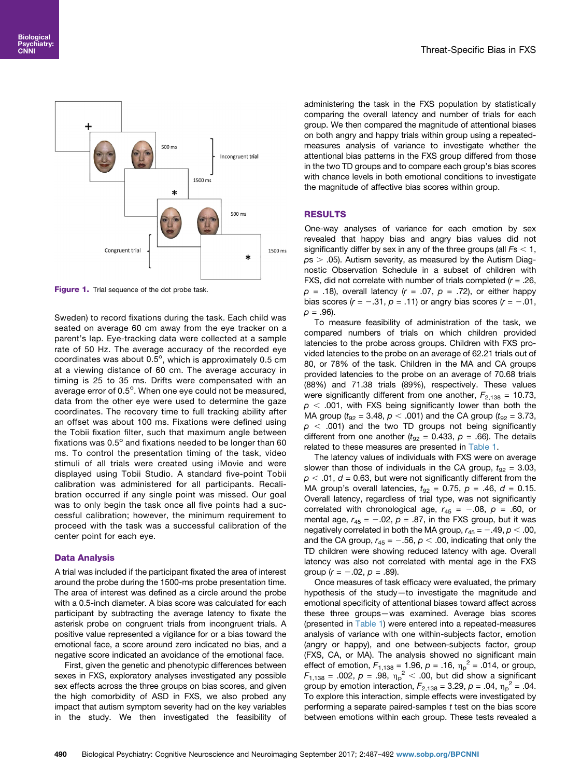<span id="page-3-0"></span>

Figure 1. Trial sequence of the dot probe task.

Sweden) to record fixations during the task. Each child was seated on average 60 cm away from the eye tracker on a parent's lap. Eye-tracking data were collected at a sample rate of 50 Hz. The average accuracy of the recorded eye coordinates was about 0.5 $^{\circ}$ , which is approximately 0.5 cm at a viewing distance of 60 cm. The average accuracy in timing is 25 to 35 ms. Drifts were compensated with an average error of 0.5°. When one eye could not be measured, data from the other eye were used to determine the gaze coordinates. The recovery time to full tracking ability after an offset was about 100 ms. Fixations were defined using the Tobii fixation filter, such that maximum angle between fixations was  $0.5^\circ$  and fixations needed to be longer than 60 ms. To control the presentation timing of the task, video stimuli of all trials were created using iMovie and were displayed using Tobii Studio. A standard five-point Tobii calibration was administered for all participants. Recalibration occurred if any single point was missed. Our goal was to only begin the task once all five points had a successful calibration; however, the minimum requirement to proceed with the task was a successful calibration of the center point for each eye.

## Data Analysis

A trial was included if the participant fixated the area of interest around the probe during the 1500-ms probe presentation time. The area of interest was defined as a circle around the probe with a 0.5-inch diameter. A bias score was calculated for each participant by subtracting the average latency to fixate the asterisk probe on congruent trials from incongruent trials. A positive value represented a vigilance for or a bias toward the emotional face, a score around zero indicated no bias, and a negative score indicated an avoidance of the emotional face.

First, given the genetic and phenotypic differences between sexes in FXS, exploratory analyses investigated any possible sex effects across the three groups on bias scores, and given the high comorbidity of ASD in FXS, we also probed any impact that autism symptom severity had on the key variables in the study. We then investigated the feasibility of administering the task in the FXS population by statistically comparing the overall latency and number of trials for each group. We then compared the magnitude of attentional biases on both angry and happy trials within group using a repeatedmeasures analysis of variance to investigate whether the attentional bias patterns in the FXS group differed from those in the two TD groups and to compare each group's bias scores with chance levels in both emotional conditions to investigate the magnitude of affective bias scores within group.

# RESULTS

One-way analyses of variance for each emotion by sex revealed that happy bias and angry bias values did not significantly differ by sex in any of the three groups (all  $Fs < 1$ ,  $ps > .05$ ). Autism severity, as measured by the Autism Diagnostic Observation Schedule in a subset of children with FXS, did not correlate with number of trials completed  $(r = .26, )$  $p = .18$ ), overall latency ( $r = .07$ ,  $p = .72$ ), or either happy bias scores ( $r = -.31$ ,  $p = .11$ ) or angry bias scores ( $r = -.01$ ,  $p = .96$ ).

To measure feasibility of administration of the task, we compared numbers of trials on which children provided latencies to the probe across groups. Children with FXS provided latencies to the probe on an average of 62.21 trials out of 80, or 78% of the task. Children in the MA and CA groups provided latencies to the probe on an average of 70.68 trials (88%) and 71.38 trials (89%), respectively. These values were significantly different from one another,  $F_{2,138} = 10.73$ ,  $p < .001$ , with FXS being significantly lower than both the MA group ( $t_{92}$  = 3.48,  $p < .001$ ) and the CA group ( $t_{92}$  = 3.73,  $p$  < .001) and the two TD groups not being significantly different from one another ( $t_{92}$  = 0.433,  $p$  = .66). The details related to these measures are presented in [Table 1](#page-2-0).

The latency values of individuals with FXS were on average slower than those of individuals in the CA group,  $t_{92} = 3.03$ ,  $p < .01$ ,  $d = 0.63$ , but were not significantly different from the MA group's overall latencies,  $t_{92} = 0.75$ ,  $p = .46$ ,  $d = 0.15$ . Overall latency, regardless of trial type, was not significantly correlated with chronological age,  $r_{45} = -.08$ ,  $p = .60$ , or mental age,  $r_{45} = -.02$ ,  $p = .87$ , in the FXS group, but it was negatively correlated in both the MA group,  $r_{45} = -.49$ ,  $p < .00$ , and the CA group,  $r_{45} = -.56$ ,  $p < .00$ , indicating that only the TD children were showing reduced latency with age. Overall latency was also not correlated with mental age in the FXS group ( $r = -.02$ ,  $p = .89$ ).

Once measures of task efficacy were evaluated, the primary hypothesis of the study—to investigate the magnitude and emotional specificity of attentional biases toward affect across these three groups—was examined. Average bias scores (presented in [Table 1](#page-2-0)) were entered into a repeated-measures analysis of variance with one within-subjects factor, emotion (angry or happy), and one between-subjects factor, group (FXS, CA, or MA). The analysis showed no significant main effect of emotion,  $F_{1,138} = 1.96$ ,  $p = .16$ ,  $\eta_p^2 = .014$ , or group,  $F_{1,138} = .002, p = .98, \eta_p^2 < .00$ , but did show a significant group by emotion interaction,  $F_{2,138} = 3.29$ ,  $p = .04$ ,  $\eta_p^2 = .04$ . To explore this interaction, simple effects were investigated by performing a separate paired-samples  $t$  test on the bias score between emotions within each group. These tests revealed a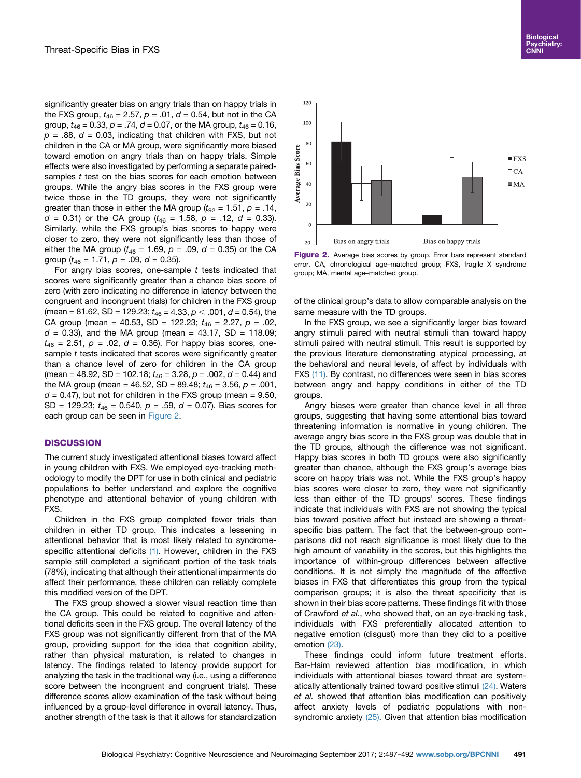significantly greater bias on angry trials than on happy trials in the FXS group,  $t_{46} = 2.57$ ,  $p = .01$ ,  $d = 0.54$ , but not in the CA group,  $t_{46} = 0.33$ ,  $p = .74$ ,  $d = 0.07$ , or the MA group,  $t_{46} = 0.16$ ,  $p = .88$ ,  $d = 0.03$ , indicating that children with FXS, but not children in the CA or MA group, were significantly more biased toward emotion on angry trials than on happy trials. Simple effects were also investigated by performing a separate pairedsamples  $t$  test on the bias scores for each emotion between groups. While the angry bias scores in the FXS group were twice those in the TD groups, they were not significantly greater than those in either the MA group ( $t_{92} = 1.51$ ,  $p = .14$ ,  $d = 0.31$ ) or the CA group ( $t_{46} = 1.58$ ,  $p = .12$ ,  $d = 0.33$ ). Similarly, while the FXS group's bias scores to happy were closer to zero, they were not significantly less than those of either the MA group ( $t_{46}$  = 1.69,  $p = .09$ ,  $d = 0.35$ ) or the CA group ( $t_{46}$  = 1.71,  $p = .09$ ,  $d = 0.35$ ).

For angry bias scores, one-sample  $t$  tests indicated that scores were significantly greater than a chance bias score of zero (with zero indicating no difference in latency between the congruent and incongruent trials) for children in the FXS group (mean = 81.62, SD = 129.23;  $t_{46} = 4.33$ ,  $p < .001$ ,  $d = 0.54$ ), the CA group (mean = 40.53, SD = 122.23;  $t_{46}$  = 2.27,  $p = .02$ ,  $d = 0.33$ ), and the MA group (mean = 43.17, SD = 118.09;  $t_{46}$  = 2.51,  $p = .02$ ,  $d = 0.36$ ). For happy bias scores, onesample t tests indicated that scores were significantly greater than a chance level of zero for children in the CA group (mean = 48.92, SD = 102.18;  $t_{46}$  = 3.28,  $p$  = .002,  $d$  = 0.44) and the MA group (mean = 46.52, SD = 89.48;  $t_{46}$  = 3.56,  $p = .001$ ,  $d = 0.47$ ), but not for children in the FXS group (mean = 9.50, SD = 129.23;  $t_{46}$  = 0.540,  $p = .59$ ,  $d = 0.07$ ). Bias scores for each group can be seen in Figure 2.

# **DISCUSSION**

The current study investigated attentional biases toward affect in young children with FXS. We employed eye-tracking methodology to modify the DPT for use in both clinical and pediatric populations to better understand and explore the cognitive phenotype and attentional behavior of young children with FXS.

Children in the FXS group completed fewer trials than children in either TD group. This indicates a lessening in attentional behavior that is most likely related to syndrome-specific attentional deficits [\(1\)](#page-5-0). However, children in the FXS sample still completed a significant portion of the task trials (78%), indicating that although their attentional impairments do affect their performance, these children can reliably complete this modified version of the DPT.

The FXS group showed a slower visual reaction time than the CA group. This could be related to cognitive and attentional deficits seen in the FXS group. The overall latency of the FXS group was not significantly different from that of the MA group, providing support for the idea that cognition ability, rather than physical maturation, is related to changes in latency. The findings related to latency provide support for analyzing the task in the traditional way (i.e., using a difference score between the incongruent and congruent trials). These difference scores allow examination of the task without being influenced by a group-level difference in overall latency. Thus, another strength of the task is that it allows for standardization



Figure 2. Average bias scores by group. Error bars represent standard error. CA, chronological age–matched group; FXS, fragile X syndrome group; MA, mental age–matched group.

of the clinical group's data to allow comparable analysis on the same measure with the TD groups.

In the FXS group, we see a significantly larger bias toward angry stimuli paired with neutral stimuli than toward happy stimuli paired with neutral stimuli. This result is supported by the previous literature demonstrating atypical processing, at the behavioral and neural levels, of affect by individuals with FXS [\(11\).](#page-5-0) By contrast, no differences were seen in bias scores between angry and happy conditions in either of the TD groups.

Angry biases were greater than chance level in all three groups, suggesting that having some attentional bias toward threatening information is normative in young children. The average angry bias score in the FXS group was double that in the TD groups, although the difference was not significant. Happy bias scores in both TD groups were also significantly greater than chance, although the FXS group's average bias score on happy trials was not. While the FXS group's happy bias scores were closer to zero, they were not significantly less than either of the TD groups' scores. These findings indicate that individuals with FXS are not showing the typical bias toward positive affect but instead are showing a threatspecific bias pattern. The fact that the between-group comparisons did not reach significance is most likely due to the high amount of variability in the scores, but this highlights the importance of within-group differences between affective conditions. It is not simply the magnitude of the affective biases in FXS that differentiates this group from the typical comparison groups; it is also the threat specificity that is shown in their bias score patterns. These findings fit with those of Crawford et al., who showed that, on an eye-tracking task, individuals with FXS preferentially allocated attention to negative emotion (disgust) more than they did to a positive emotion [\(23\)](#page-5-0).

These findings could inform future treatment efforts. Bar-Haim reviewed attention bias modification, in which individuals with attentional biases toward threat are system-atically attentionally trained toward positive stimuli [\(24\)](#page-5-0). Waters et al. showed that attention bias modification can positively affect anxiety levels of pediatric populations with non-syndromic anxiety [\(25\).](#page-5-0) Given that attention bias modification